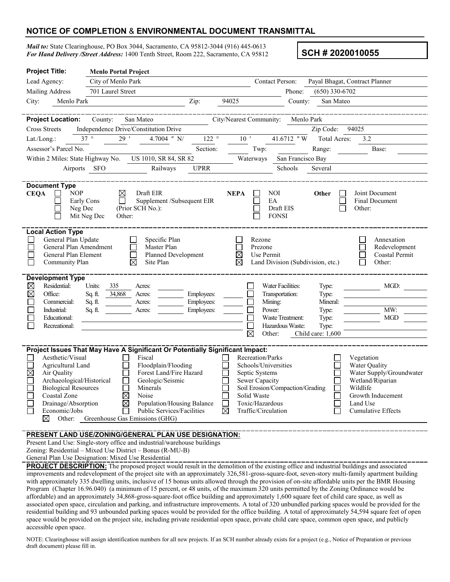## **NOTICE OF COMPLETION** & **ENVIRONMENTAL DOCUMENT TRANSMITTAL**

*Mail to:* State Clearinghouse, PO Box 3044, Sacramento, CA 95812-3044 (916) 445-0613 *For Hand Delivery /Street Address:* 1400 Tenth Street, Room 222, Sacramento, CA 95812 **SCH # 2020010055** 

| <b>Project Title:</b>                                                                                                                                                                        | <b>Menlo Portal Project</b>                                 |                                                                               |                                       |                                                 |                   |                                                         |  |  |
|----------------------------------------------------------------------------------------------------------------------------------------------------------------------------------------------|-------------------------------------------------------------|-------------------------------------------------------------------------------|---------------------------------------|-------------------------------------------------|-------------------|---------------------------------------------------------|--|--|
| Lead Agency:<br>City of Menlo Park                                                                                                                                                           |                                                             |                                                                               |                                       | <b>Contact Person:</b>                          |                   | Payal Bhagat, Contract Planner                          |  |  |
| Mailing Address                                                                                                                                                                              | 701 Laurel Street                                           |                                                                               |                                       | Phone:                                          | $(650)$ 330-6702  |                                                         |  |  |
| City:<br>Menlo Park                                                                                                                                                                          |                                                             | Zip:                                                                          | 94025                                 | County:                                         | San Mateo         |                                                         |  |  |
|                                                                                                                                                                                              |                                                             |                                                                               |                                       |                                                 |                   |                                                         |  |  |
| <b>Project Location:</b>                                                                                                                                                                     | County:<br>San Mateo                                        |                                                                               | City/Nearest Community:               | Menlo Park                                      |                   |                                                         |  |  |
| <b>Cross Streets</b>                                                                                                                                                                         | Independence Drive/Constitution Drive<br>94025<br>Zip Code: |                                                                               |                                       |                                                 |                   |                                                         |  |  |
| Lat./Long.:                                                                                                                                                                                  | $37^{\circ}$<br>29'                                         | 4.7004 $''$ N/<br>$122$ $^{\circ}$                                            | $10$ $^{\prime}$                      | 41.6712 "W                                      | Total Acres:      | 3.2                                                     |  |  |
| Assessor's Parcel No.                                                                                                                                                                        |                                                             | Section:                                                                      | Twp:                                  |                                                 | Range:            | Base:                                                   |  |  |
| Within 2 Miles: State Highway No.                                                                                                                                                            |                                                             | US 1010, SR 84, SR 82                                                         | Waterways                             | San Francisco Bay                               |                   |                                                         |  |  |
| Airports                                                                                                                                                                                     | <b>SFO</b>                                                  | <b>UPRR</b><br>Railways                                                       |                                       | Schools<br>Several                              |                   |                                                         |  |  |
|                                                                                                                                                                                              |                                                             |                                                                               |                                       |                                                 |                   |                                                         |  |  |
| <b>Document Type</b><br><b>NOP</b><br><b>CEQA</b><br>Early Cons<br>Neg Dec                                                                                                                   | ⊠<br>П<br>(Prior SCH No.):<br>Mit Neg Dec<br>Other:         | Draft EIR<br>Supplement /Subsequent EIR                                       | <b>NEPA</b>                           | NOI<br>EA<br>Draft EIS<br><b>FONSI</b>          | Other             | Joint Document<br><b>Final Document</b><br>Other:       |  |  |
| <b>Local Action Type</b><br>General Plan Update<br>Specific Plan<br>General Plan Amendment<br>Master Plan<br>General Plan Element<br>Planned Development<br>Community Plan<br>⊠<br>Site Plan |                                                             |                                                                               | Rezone<br>Prezone<br>$\boxtimes$<br>⊠ | Use Permit<br>Land Division (Subdivision, etc.) |                   | Annexation<br>Redevelopment<br>Coastal Permit<br>Other: |  |  |
| <b>Development Type</b>                                                                                                                                                                      |                                                             |                                                                               |                                       |                                                 |                   |                                                         |  |  |
| Residential:<br>$\boxtimes$                                                                                                                                                                  | Units:<br>335<br>Acres:                                     |                                                                               |                                       | Water Facilities:                               | Type:             | MGD:                                                    |  |  |
| $\boxtimes$<br>Office:<br>Commercial:                                                                                                                                                        | 34,868<br>Sq. ft.<br>Acres:<br>Sq. ft.<br>Acres:            | Employees:<br>Employees:                                                      |                                       | Transportation:<br>Mining:                      | Type:<br>Mineral: |                                                         |  |  |
| Industrial:                                                                                                                                                                                  | Sq. ft.<br>Acres:                                           | Employees:                                                                    | <b>CO</b>                             | Power:                                          | Type:             | MW:                                                     |  |  |
| Educational:                                                                                                                                                                                 |                                                             |                                                                               |                                       | Waste Treatment:                                | Type:             | <b>MGD</b>                                              |  |  |
| Recreational:                                                                                                                                                                                |                                                             |                                                                               |                                       | Hazardous Waste:                                | Type:             |                                                         |  |  |
|                                                                                                                                                                                              |                                                             |                                                                               | ⊠                                     | Other:                                          | Child care: 1,600 |                                                         |  |  |
|                                                                                                                                                                                              |                                                             |                                                                               |                                       |                                                 |                   |                                                         |  |  |
|                                                                                                                                                                                              |                                                             | Project Issues That May Have A Significant Or Potentially Significant Impact: |                                       |                                                 |                   |                                                         |  |  |
| Aesthetic/Visual                                                                                                                                                                             | Fiscal                                                      |                                                                               | Recreation/Parks                      |                                                 |                   | Vegetation                                              |  |  |
| Agricultural Land                                                                                                                                                                            |                                                             | Floodplain/Flooding                                                           |                                       | Schools/Universities                            |                   | Water Quality                                           |  |  |
| $\boxtimes$<br>Air Quality                                                                                                                                                                   |                                                             | Forest Land/Fire Hazard                                                       | Septic Systems                        |                                                 |                   | Water Supply/Groundwater                                |  |  |
| Archaeological/Historical<br>Geologic/Seismic                                                                                                                                                |                                                             |                                                                               | Sewer Capacity<br>Wetland/Riparian    |                                                 |                   |                                                         |  |  |
| <b>Biological Resources</b><br>Soil Erosion/Compaction/Grading<br>Wildlife<br>Minerals<br>Noise                                                                                              |                                                             |                                                                               |                                       |                                                 |                   |                                                         |  |  |
| Coastal Zone                                                                                                                                                                                 | $\boxtimes$                                                 |                                                                               | Solid Waste                           |                                                 |                   | Growth Inducement                                       |  |  |
| Drainage/Absorption                                                                                                                                                                          | ⊠                                                           | Population/Housing Balance                                                    | Toxic/Hazardous                       |                                                 |                   | Land Use                                                |  |  |
| Economic/Jobs                                                                                                                                                                                |                                                             | <b>Public Services/Facilities</b>                                             | $\boxtimes$                           | Traffic/Circulation                             |                   | Cumulative Effects                                      |  |  |
| ⊠<br>Other: Greenhouse Gas Emissions (GHG)                                                                                                                                                   |                                                             |                                                                               |                                       |                                                 |                   |                                                         |  |  |
| PRESENT LAND USE/ZONING/GENERAL PLAN USE DESIGNATION:                                                                                                                                        |                                                             |                                                                               |                                       |                                                 |                   |                                                         |  |  |
|                                                                                                                                                                                              |                                                             |                                                                               |                                       |                                                 |                   |                                                         |  |  |

Present Land Use: Single-story office and industrial/warehouse buildings

Zoning: Residential – Mixed Use District – Bonus (R-MU-B)

General Plan Use Designation: Mixed Use Residential

**PROJECT DESCRIPTION:** The proposed project would result in the demolition of the existing office and industrial buildings and associated improvements and redevelopment of the project site with an approximately 326,581-gross-square-foot, seven-story multi-family apartment building with approximately 335 dwelling units, inclusive of 15 bonus units allowed through the provision of on-site affordable units per the BMR Housing Program (Chapter 16.96.040) (a minimum of 15 percent, or 48 units, of the maximum 320 units permitted by the Zoning Ordinance would be affordable) and an approximately 34,868‐gross‐square‐foot office building and approximately 1,600 square feet of child care space, as well as associated open space, circulation and parking, and infrastructure improvements. A total of 320 unbundled parking spaces would be provided for the residential building and 93 unbounded parking spaces would be provided for the office building. A total of approximately 54,594 square feet of open space would be provided on the project site, including private residential open space, private child care space, common open space, and publicly accessible open space.

NOTE: Clearinghouse will assign identification numbers for all new projects. If an SCH number already exists for a project (e.g., Notice of Preparation or previous draft document) please fill in.